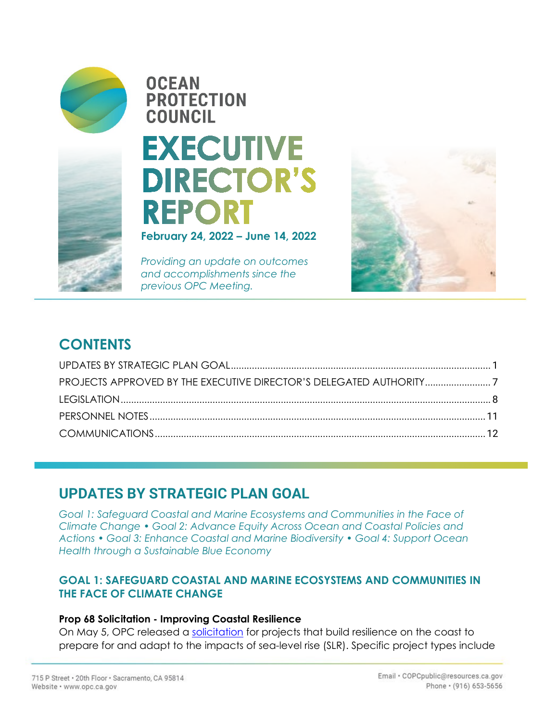

## **OCEAN PROTECTION COUNCIL EXECUTIVE**

# **DIRECTOR'S REPORT**

**February 24, 2022 – June 14, 2022** 

*Providing an update on outcomes and accomplishments since the previous OPC Meeting.*



## **CONTENTS**

## **UPDATES BY STRATEGIC PLAN GOAL**

*Goal 1: Safeguard Coastal and Marine Ecosystems and Communities in the Face of Climate Change • Goal 2: Advance Equity Across Ocean and Coastal Policies and Actions • Goal 3: Enhance Coastal and Marine Biodiversity • Goal 4: Support Ocean Health through a Sustainable Blue Economy* 

#### **GOAL 1: SAFEGUARD COASTAL AND MARINE ECOSYSTEMS AND COMMUNITIES IN THE FACE OF CLIMATE CHANGE**

#### **Prop 68 Solicitation - Improving Coastal Resilience**

On May 5, OPC released a [solicitation](https://www.opc.ca.gov/webmaster/_media_library/2022/05/Prop-68-Ch-10-Round-2-Solicitation-05.05.22-1.pdf) for projects that build resilience on the coast to prepare for and adapt to the impacts of sea-level rise (SLR). Specific project types include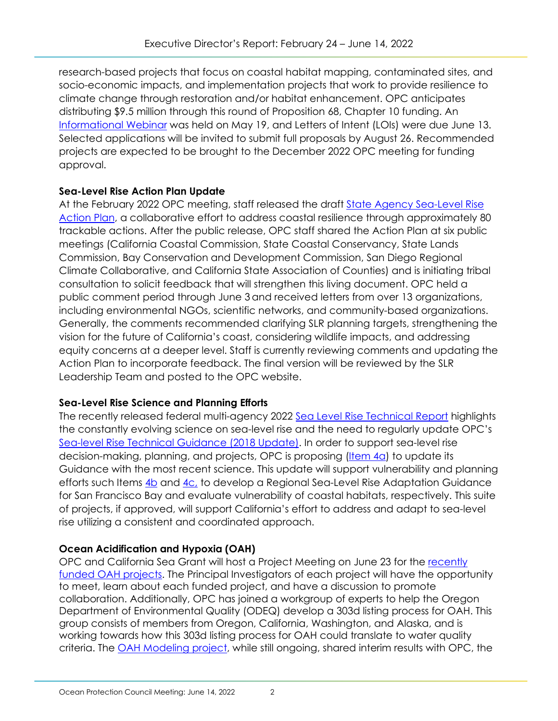research-based projects that focus on coastal habitat mapping, contaminated sites, and socio-economic impacts, and implementation projects that work to provide resilience to climate change through restoration and/or habitat enhancement. OPC anticipates distributing \$9.5 million through this round of Proposition 68, Chapter 10 funding. An [Informational Webinar](https://ca-water-gov.zoom.us/rec/play/1963arC-3rAqfQUv8M4WQehdDQyyndkRJxUlU2XX5Ib_eC4_y222tW4u5hQVRSPpu31Dx_fKXWVCWPP3.zh72oHEAdsH0htnM?continueMode=true) was held on May 19, and Letters of Intent (LOIs) were due June 13. Selected applications will be invited to submit full proposals by August 26. Recommended projects are expected to be brought to the December 2022 OPC meeting for funding approval.

#### **Sea-Level Rise Action Plan Update**

At the February 2022 OPC meeting, staff released the draft **State Agency Sea-Level Rise** [Action Plan,](https://www.opc.ca.gov/webmaster/_media_library/2022/02/Item-7_Exhibit-A_SLR-Action-Plan-Final.pdf) a collaborative effort to address coastal resilience through approximately 80 trackable actions. After the public release, OPC staff shared the Action Plan at six public meetings (California Coastal Commission, State Coastal Conservancy, State Lands Commission, Bay Conservation and Development Commission, San Diego Regional Climate Collaborative, and California State Association of Counties) and is initiating tribal consultation to solicit feedback that will strengthen this living document. OPC held a public comment period through June 3and received letters from over 13 organizations, including environmental NGOs, scientific networks, and community-based organizations. Generally, the comments recommended clarifying SLR planning targets, strengthening the vision for the future of California's coast, considering wildlife impacts, and addressing equity concerns at a deeper level. Staff is currently reviewing comments and updating the Action Plan to incorporate feedback. The final version will be reviewed by the SLR Leadership Team and posted to the OPC website.

#### **Sea-Level Rise Science and Planning Efforts**

The recently released federal multi-agency 2022 [Sea Level Rise Technical Report](https://oceanservice.noaa.gov/hazards/sealevelrise/sealevelrise-tech-report.html) highlights the constantly evolving science on sea-level rise and the need to regularly update OPC's [Sea-level Rise Technical Guidance \(2018 Update\).](https://opc.ca.gov/webmaster/ftp/pdf/agenda_items/20180314/Item3_Exhibit-A_OPC_SLR_Guidance-rd3.pdf) In order to support sea-level rise decision-making, planning, and projects, OPC is proposing [\(Item 4a\)](https://www.opc.ca.gov/webmaster/ftp/pdf/agenda_items/20220614/Item_4a_SLR_Guidance_FINAL.pdf) to update its Guidance with the most recent science. This update will support vulnerability and planning efforts such Items [4b](https://www.opc.ca.gov/webmaster/ftp/pdf/agenda_items/20220614/Item_4b_Regional_SLR_Adaptation_Guidance_for_San_Francisco_Bay_FINAL.pdf) and [4c,](https://www.opc.ca.gov/webmaster/ftp/pdf/agenda_items/20220614/Item_4c_Coastal_Habitats_Inventory_FINAL.pdf) to develop a Regional Sea-Level Rise Adaptation Guidance for San Francisco Bay and evaluate vulnerability of coastal habitats, respectively. This suite of projects, if approved, will support California's effort to address and adapt to sea-level rise utilizing a consistent and coordinated approach.

#### **Ocean Acidification and Hypoxia (OAH)**

OPC and California Sea Grant will host a Project Meeting on June 23 for the recently [funded OAH projects.](https://www.opc.ca.gov/webmaster/ftp/pdf/agenda_items/20220223/Item_4_OAH_Project_Funding_Final.pdf) The Principal Investigators of each project will have the opportunity to meet, learn about each funded project, and have a discussion to promote collaboration. Additionally, OPC has joined a workgroup of experts to help the Oregon Department of Environmental Quality (ODEQ) develop a 303d listing process for OAH. This group consists of members from Oregon, California, Washington, and Alaska, and is working towards how this 303d listing process for OAH could translate to water quality criteria. The **OAH Modeling project**, while still ongoing, shared interim results with OPC, the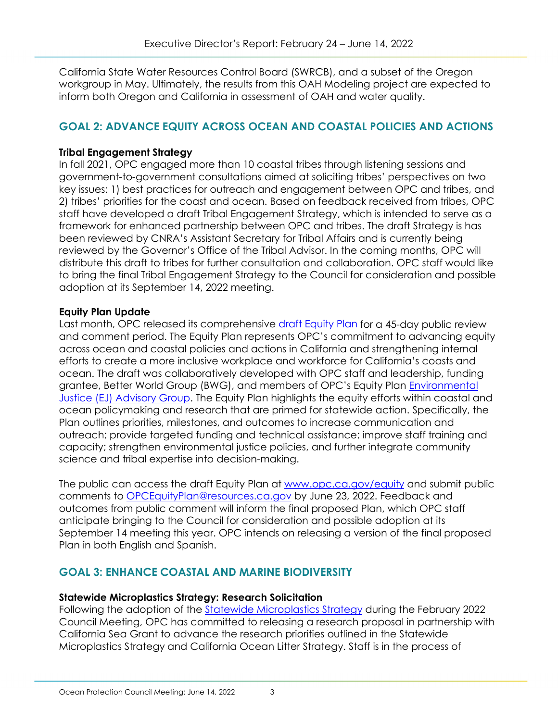California State Water Resources Control Board (SWRCB), and a subset of the Oregon workgroup in May. Ultimately, the results from this OAH Modeling project are expected to inform both Oregon and California in assessment of OAH and water quality.

#### **GOAL 2: ADVANCE EQUITY ACROSS OCEAN AND COASTAL POLICIES AND ACTIONS**

#### **Tribal Engagement Strategy**

In fall 2021, OPC engaged more than 10 coastal tribes through listening sessions and government-to-government consultations aimed at soliciting tribes' perspectives on two key issues: 1) best practices for outreach and engagement between OPC and tribes, and 2) tribes' priorities for the coast and ocean. Based on feedback received from tribes, OPC staff have developed a draft Tribal Engagement Strategy, which is intended to serve as a framework for enhanced partnership between OPC and tribes. The draft Strategy is has been reviewed by CNRA's Assistant Secretary for Tribal Affairs and is currently being reviewed by the Governor's Office of the Tribal Advisor. In the coming months, OPC will distribute this draft to tribes for further consultation and collaboration. OPC staff would like to bring the final Tribal Engagement Strategy to the Council for consideration and possible adoption at its September 14, 2022 meeting.

#### **Equity Plan Update**

Last month, OPC released its comprehensive [draft Equity Plan](https://www.opc.ca.gov/webmaster/_media_library/2022/05/OPC-Equity-Plan-Draft_5.9.22_final.pdf) for a 45-day public review and comment period. The Equity Plan represents OPC's commitment to advancing equity across ocean and coastal policies and actions in California and strengthening internal efforts to create a more inclusive workplace and workforce for California's coasts and ocean. The draft was collaboratively developed with OPC staff and leadership, funding grantee, Better World Group (BWG), and members of OPC's Equity Plan **Environmental** [Justice \(EJ\) Advisory Group.](https://www.opc.ca.gov/2021/09/announcing-the-environmental-justice-advisory-group/) The Equity Plan highlights the equity efforts within coastal and ocean policymaking and research that are primed for statewide action. Specifically, the Plan outlines priorities, milestones, and outcomes to increase communication and outreach; provide targeted funding and technical assistance; improve staff training and capacity; strengthen environmental justice policies, and further integrate community science and tribal expertise into decision-making.

The public can access the draft Equity Plan at [www.opc.ca.gov/equity](http://www.opc.ca.gov/equity) and submit public comments to [OPCEquityPlan@resources.ca.gov](mailto:OPCEquityPlan@resources.ca.gov) by June 23, 2022. Feedback and outcomes from public comment will inform the final proposed Plan, which OPC staff anticipate bringing to the Council for consideration and possible adoption at its September 14 meeting this year. OPC intends on releasing a version of the final proposed Plan in both English and Spanish.

#### **GOAL 3: ENHANCE COASTAL AND MARINE BIODIVERSITY**

#### **Statewide Microplastics Strategy: Research Solicitation**

Following the adoption of the [Statewide Microplastics Strategy](https://gcc02.safelinks.protection.outlook.com/?url=https%3A%2F%2Fwww.opc.ca.gov%2Fwebmaster%2Fftp%2Fpdf%2Fagenda_items%2F20220223%2FItem_6_Exhibit_A_Statewide_Microplastics_Strategy.pdf&data=05%7C01%7C%7C9d97a98c5d9441e9feca08da45b2bea6%7Cb71d56524b834257afcd7fd177884564%7C0%7C0%7C637898932042744738%7CUnknown%7CTWFpbGZsb3d8eyJWIjoiMC4wLjAwMDAiLCJQIjoiV2luMzIiLCJBTiI6Ik1haWwiLCJXVCI6Mn0%3D%7C3000%7C%7C%7C&sdata=cdmR77nBtt%2Fw9vOGr%2BAgIV1j%2FdTtLo4f%2FMgenT2Uu1I%3D&reserved=0) during the February 2022 Council Meeting, OPC has committed to releasing a research proposal in partnership with California Sea Grant to advance the research priorities outlined in the Statewide Microplastics Strategy and California Ocean Litter Strategy. Staff is in the process of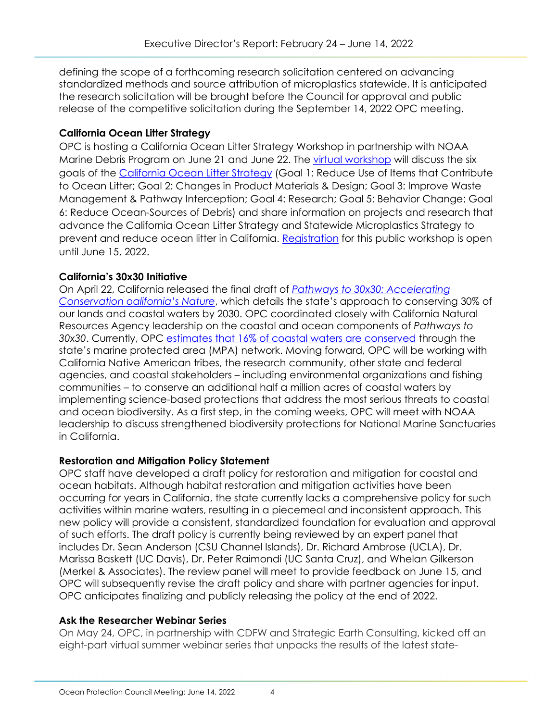defining the scope of a forthcoming research solicitation centered on advancing standardized methods and source attribution of microplastics statewide. It is anticipated the research solicitation will be brought before the Council for approval and public release of the competitive solicitation during the September 14, 2022 OPC meeting.

#### **California Ocean Litter Strategy**

OPC is hosting a California Ocean Litter Strategy Workshop in partnership with NOAA Marine Debris Program on June 21 and June 22. The [virtual workshop](https://docs.google.com/document/d/1CiRHD9DWG3dUynjJSlX0FkhJAICoXT_Q2f_uMw9YRXw/edit) will discuss the six goals of the [California Ocean Litter Strategy](https://gcc02.safelinks.protection.outlook.com/?url=https%3A%2F%2Fopc.ca.gov%2Fwebmaster%2F_media_library%2F2018%2F06%2F2018_CA_OceanLitterStrategy.pdf&data=05%7C01%7C%7C9d97a98c5d9441e9feca08da45b2bea6%7Cb71d56524b834257afcd7fd177884564%7C0%7C0%7C637898932042744738%7CUnknown%7CTWFpbGZsb3d8eyJWIjoiMC4wLjAwMDAiLCJQIjoiV2luMzIiLCJBTiI6Ik1haWwiLCJXVCI6Mn0%3D%7C3000%7C%7C%7C&sdata=1pntiDCh2TuqskC9oSnHN3rqqHlM5txG8VLnry%2FSENs%3D&reserved=0) (Goal 1: Reduce Use of Items that Contribute to Ocean Litter; Goal 2: Changes in Product Materials & Design; Goal 3: Improve Waste Management & Pathway Interception; Goal 4: Research; Goal 5: Behavior Change; Goal 6: Reduce Ocean-Sources of Debris) and share information on projects and research that advance the California Ocean Litter Strategy and Statewide Microplastics Strategy to prevent and reduce ocean litter in California. [Registration](https://gcc02.safelinks.protection.outlook.com/?url=https%3A%2F%2Fucsd.zoom.us%2Fwebinar%2Fregister%2FWN_MgYwXG7yROeap9b02MtzzA&data=05%7C01%7C%7C9d97a98c5d9441e9feca08da45b2bea6%7Cb71d56524b834257afcd7fd177884564%7C0%7C0%7C637898932042744738%7CUnknown%7CTWFpbGZsb3d8eyJWIjoiMC4wLjAwMDAiLCJQIjoiV2luMzIiLCJBTiI6Ik1haWwiLCJXVCI6Mn0%3D%7C3000%7C%7C%7C&sdata=LdJIo984ow1eG46X0adw1%2BGD8Jcz6p2izj0nD2TMzy0%3D&reserved=0) for this public workshop is open until June 15, 2022.

#### **California's 30x30 Initiative**

On April 22, California released the final draft of *[Pathways to 30x30: Accelerating](https://www.californianature.ca.gov/pages/30x30)  [Conservation oalifornia's Nature](https://www.californianature.ca.gov/pages/30x30)*, which details the state's approach to conserving 30% of our lands and coastal waters by 2030. OPC coordinated closely with California Natural Resources Agency leadership on the coastal and ocean components of *Pathways to 30x30*. Currently, OPC [estimates that 16% of coastal waters are conserved](https://experience.arcgis.com/experience/83b5c08cae8b47d3b7c623f2de1f0dcc) through the state's marine protected area (MPA) network. Moving forward, OPC will be working with California Native American tribes, the research community, other state and federal agencies, and coastal stakeholders – including environmental organizations and fishing communities – to conserve an additional half a million acres of coastal waters by implementing science-based protections that address the most serious threats to coastal and ocean biodiversity. As a first step, in the coming weeks, OPC will meet with NOAA leadership to discuss strengthened biodiversity protections for National Marine Sanctuaries in California.

#### **Restoration and Mitigation Policy Statement**

OPC staff have developed a draft policy for restoration and mitigation for coastal and ocean habitats. Although habitat restoration and mitigation activities have been occurring for years in California, the state currently lacks a comprehensive policy for such activities within marine waters, resulting in a piecemeal and inconsistent approach. This new policy will provide a consistent, standardized foundation for evaluation and approval of such efforts. The draft policy is currently being reviewed by an expert panel that includes Dr. Sean Anderson (CSU Channel Islands), Dr. Richard Ambrose (UCLA), Dr. Marissa Baskett (UC Davis), Dr. Peter Raimondi (UC Santa Cruz), and Whelan Gilkerson (Merkel & Associates). The review panel will meet to provide feedback on June 15, and OPC will subsequently revise the draft policy and share with partner agencies for input. OPC anticipates finalizing and publicly releasing the policy at the end of 2022.

#### **Ask the Researcher Webinar Series**

On May 24, OPC, in partnership with CDFW and Strategic Earth Consulting, kicked off an eight-part virtual summer webinar series that unpacks the results of the latest state-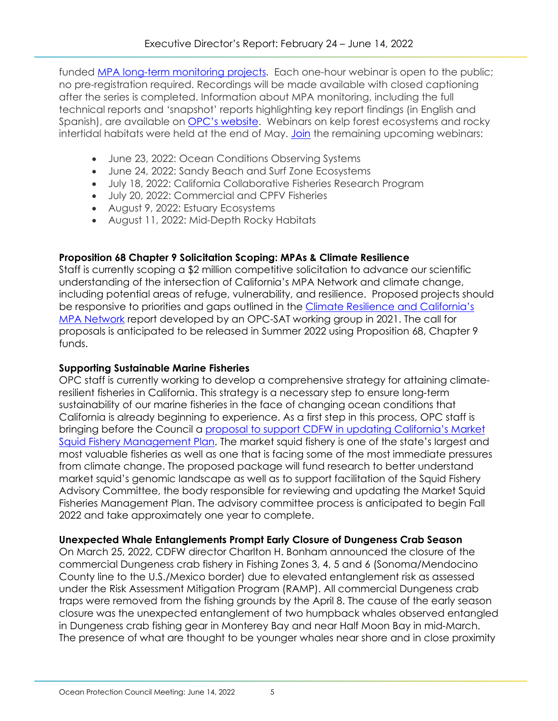funded [MPA long-term monitoring projects](https://caseagrant.ucsd.edu/news/california-marine-protected-area-long-term-monitoring-program-final-reports-2019-2021). Each one-hour webinar is open to the public; no pre-registration required. Recordings will be made available with closed captioning after the series is completed. Information about MPA monitoring, including the full technical reports and 'snapshot' reports highlighting key report findings (in English and Spanish), are available on [OPC's website.](https://opc.ca.gov/programs-summary/marine-protected-areas/research-and-monitoring/) Webinars on kelp forest ecosystems and rocky intertidal habitats were held at the end of May. [Join](https://www.opc.ca.gov/2022/05/mpa-monitoring-series-ask-the-researcher/) the remaining upcoming webinars:

- June 23, 2022: Ocean Conditions Observing Systems
- June 24, 2022: Sandy Beach and Surf Zone Ecosystems
- July 18, 2022: California Collaborative Fisheries Research Program
- July 20, 2022: Commercial and CPFV Fisheries
- August 9, 2022: Estuary Ecosystems
- August 11, 2022: Mid-Depth Rocky Habitats

#### **Proposition 68 Chapter 9 Solicitation Scoping: MPAs & Climate Resilience**

Staff is currently scoping a \$2 million competitive solicitation to advance our scientific understanding of the intersection of California's MPA Network and climate change, including potential areas of refuge, vulnerability, and resilience. Proposed projects should be responsive to priorities and gaps outlined in the Climate Resilience and California's [MPA Network](https://www.opc.ca.gov/webmaster/_media_library/2021/07/Climate-Resilience-and-Californias-MPA-Network-2021_final_ADA_OST.pdf) report developed by an OPC-SAT working group in 2021. The call for proposals is anticipated to be released in Summer 2022 using Proposition 68, Chapter 9 funds.

#### **Supporting Sustainable Marine Fisheries**

OPC staff is currently working to develop a comprehensive strategy for attaining climateresilient fisheries in California. This strategy is a necessary step to ensure long-term sustainability of our marine fisheries in the face of changing ocean conditions that California is already beginning to experience. As a first step in this process, OPC staff is bringing before the Council a proposal to support CDFW in [updating California's Market](https://www.opc.ca.gov/webmaster/ftp/pdf/agenda_items/20220614/Item_7_Market_squid_FMP_funding_FINAL.pdf)  [Squid Fishery Management Plan.](https://www.opc.ca.gov/webmaster/ftp/pdf/agenda_items/20220614/Item_7_Market_squid_FMP_funding_FINAL.pdf) The market squid fishery is one of the state's largest and most valuable fisheries as well as one that is facing some of the most immediate pressures from climate change. The proposed package will fund research to better understand market squid's genomic landscape as well as to support facilitation of the Squid Fishery Advisory Committee, the body responsible for reviewing and updating the Market Squid Fisheries Management Plan. The advisory committee process is anticipated to begin Fall 2022 and take approximately one year to complete.

#### **Unexpected Whale Entanglements Prompt Early Closure of Dungeness Crab Season**

On March 25, 2022, CDFW director Charlton H. Bonham announced the closure of the commercial Dungeness crab fishery in Fishing Zones 3, 4, 5 and 6 (Sonoma/Mendocino County line to the U.S./Mexico border) due to elevated entanglement risk as assessed under the Risk Assessment Mitigation Program (RAMP). All commercial Dungeness crab traps were removed from the fishing grounds by the April 8. The cause of the early season closure was the unexpected entanglement of two humpback whales observed entangled in Dungeness crab fishing gear in Monterey Bay and near Half Moon Bay in mid-March. The presence of what are thought to be younger whales near shore and in close proximity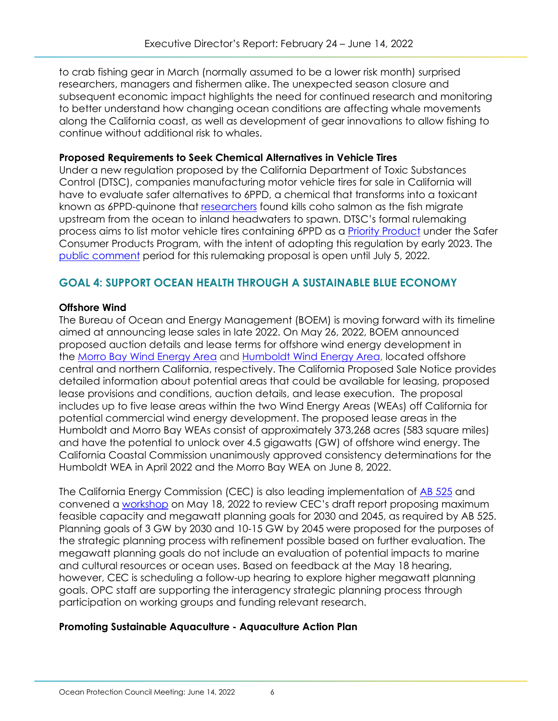to crab fishing gear in March (normally assumed to be a lower risk month) surprised researchers, managers and fishermen alike. The unexpected season closure and subsequent economic impact highlights the need for continued research and monitoring to better understand how changing ocean conditions are affecting whale movements along the California coast, as well as development of gear innovations to allow fishing to continue without additional risk to whales.

#### **Proposed Requirements to Seek Chemical Alternatives in Vehicle Tires**

Under a new regulation proposed by the California Department of Toxic Substances Control (DTSC), companies manufacturing motor vehicle tires for sale in California will have to evaluate safer alternatives to 6PPD, a chemical that transforms into a toxicant known as 6PPD-quinone that [researchers](https://gcc02.safelinks.protection.outlook.com/?url=https%3A%2F%2Fwww.washington.edu%2Fnews%2F2020%2F12%2F03%2Ftire-related-chemical-largely-responsible-for-adult-coho-salmon-deaths-in-urban-streams%2F&data=05%7C01%7C%7C2b07c7a606a14e5ea82108da3d91d6b3%7Cb71d56524b834257afcd7fd177884564%7C0%7C0%7C637889993829020217%7CUnknown%7CTWFpbGZsb3d8eyJWIjoiMC4wLjAwMDAiLCJQIjoiV2luMzIiLCJBTiI6Ik1haWwiLCJXVCI6Mn0%3D%7C3000%7C%7C%7C&sdata=5CEVYnBN7o2aLxCLaRllbrwAwu2Sbd3U30Uep%2BmUv6E%3D&reserved=0) found kills coho salmon as the fish migrate upstream from the ocean to inland headwaters to spawn. DTSC's formal rulemaking process aims to list motor vehicle tires containing 6PPD as a [Priority Product](https://gcc02.safelinks.protection.outlook.com/?url=https%3A%2F%2Fdtsc.ca.gov%2Fscp%2Fpriority-products%2F&data=05%7C01%7C%7C2b07c7a606a14e5ea82108da3d91d6b3%7Cb71d56524b834257afcd7fd177884564%7C0%7C0%7C637889993829020217%7CUnknown%7CTWFpbGZsb3d8eyJWIjoiMC4wLjAwMDAiLCJQIjoiV2luMzIiLCJBTiI6Ik1haWwiLCJXVCI6Mn0%3D%7C3000%7C%7C%7C&sdata=sT3a2QeuKjzdi%2B%2Bju4BcdD%2BNYdmCWD90DC5w%2FochzxY%3D&reserved=0) under the Safer Consumer Products Program, with the intent of adopting this regulation by early 2023. The [public comment](https://gcc02.safelinks.protection.outlook.com/?url=https%3A%2F%2Fcalsafer.dtsc.ca.gov%2Fcms%2Fcommentpackage%2F%3Frid%3D12761&data=05%7C01%7C%7C2b07c7a606a14e5ea82108da3d91d6b3%7Cb71d56524b834257afcd7fd177884564%7C0%7C0%7C637889993829020217%7CUnknown%7CTWFpbGZsb3d8eyJWIjoiMC4wLjAwMDAiLCJQIjoiV2luMzIiLCJBTiI6Ik1haWwiLCJXVCI6Mn0%3D%7C3000%7C%7C%7C&sdata=hF9Gxt7qdklN8C68T%2FyiNgWRC8NGn1BSdR%2FT7GpANqU%3D&reserved=0) period for this rulemaking proposal is open until July 5, 2022.

#### **GOAL 4: SUPPORT OCEAN HEALTH THROUGH A SUSTAINABLE BLUE ECONOMY**

#### **Offshore Wind**

The Bureau of Ocean and Energy Management (BOEM) is moving forward with its timeline aimed at announcing lease sales in late 2022. On May 26, 2022, BOEM announced proposed auction details and lease terms for offshore wind energy development in the [Morro Bay Wind Energy Area](https://www.boem.gov/renewable-energy/state-activities/morro-bay-wind-energy-area) and [Humboldt Wind Energy Area,](https://www.boem.gov/renewable-energy/state-activities/humboldt-wind-energy-area) located offshore central and northern California, respectively. The California Proposed Sale Notice provides detailed information about potential areas that could be available for leasing, proposed lease provisions and conditions, auction details, and lease execution. The proposal includes up to five lease areas within the two Wind Energy Areas (WEAs) off California for potential commercial wind energy development. The proposed lease areas in the Humboldt and Morro Bay WEAs consist of approximately 373,268 acres (583 square miles) and have the potential to unlock over 4.5 gigawatts (GW) of offshore wind energy. The California Coastal Commission unanimously approved consistency determinations for the Humboldt WEA in April 2022 and the Morro Bay WEA on June 8, 2022.

The California Energy Commission (CEC) is also leading implementation of [AB 525](https://leginfo.legislature.ca.gov/faces/billNavClient.xhtml?bill_id=202120220AB525) and convened a [workshop](https://www.energy.ca.gov/event/2022-05/workshop-offshore-wind-energy-development-california-coast-maximum-feasible) on May 18, 2022 to review CEC's draft report proposing maximum feasible capacity and megawatt planning goals for 2030 and 2045, as required by AB 525. Planning goals of 3 GW by 2030 and 10-15 GW by 2045 were proposed for the purposes of the strategic planning process with refinement possible based on further evaluation. The megawatt planning goals do not include an evaluation of potential impacts to marine and cultural resources or ocean uses. Based on feedback at the May 18 hearing, however, CEC is scheduling a follow-up hearing to explore higher megawatt planning goals. OPC staff are supporting the interagency strategic planning process through participation on working groups and funding relevant research.

#### **Promoting Sustainable Aquaculture - Aquaculture Action Plan**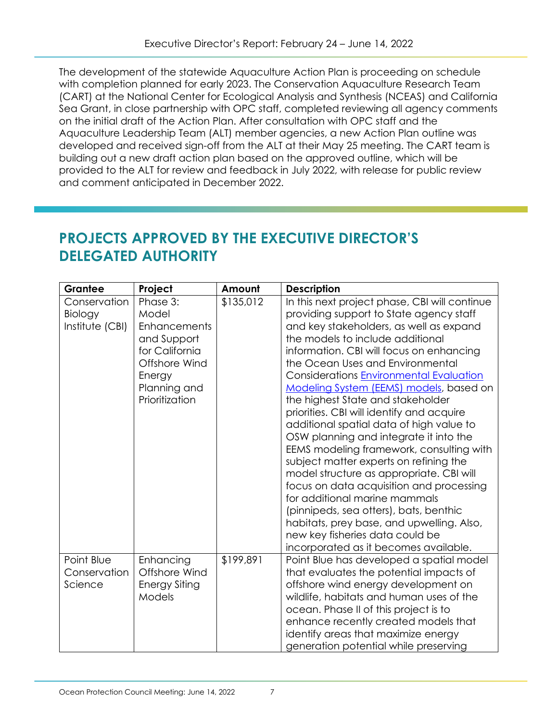The development of the statewide Aquaculture Action Plan is proceeding on schedule with completion planned for early 2023. The Conservation Aquaculture Research Team (CART) at the National Center for Ecological Analysis and Synthesis (NCEAS) and California Sea Grant, in close partnership with OPC staff, completed reviewing all agency comments on the initial draft of the Action Plan. After consultation with OPC staff and the Aquaculture Leadership Team (ALT) member agencies, a new Action Plan outline was developed and received sign-off from the ALT at their May 25 meeting. The CART team is building out a new draft action plan based on the approved outline, which will be provided to the ALT for review and feedback in July 2022, with release for public review and comment anticipated in December 2022.

## **PROJECTS APPROVED BY THE EXECUTIVE DIRECTOR'S DELEGATED AUTHORITY**

| Grantee         | Project              | Amount    | <b>Description</b>                            |
|-----------------|----------------------|-----------|-----------------------------------------------|
| Conservation    | Phase 3:             | \$135,012 | In this next project phase, CBI will continue |
| Biology         | Model                |           | providing support to State agency staff       |
| Institute (CBI) | <b>Enhancements</b>  |           | and key stakeholders, as well as expand       |
|                 | and Support          |           | the models to include additional              |
|                 | for California       |           | information. CBI will focus on enhancing      |
|                 | Offshore Wind        |           | the Ocean Uses and Environmental              |
|                 | Energy               |           | Considerations Environmental Evaluation       |
|                 | Planning and         |           | Modeling System (EEMS) models, based on       |
|                 | Prioritization       |           | the highest State and stakeholder             |
|                 |                      |           | priorities. CBI will identify and acquire     |
|                 |                      |           | additional spatial data of high value to      |
|                 |                      |           | OSW planning and integrate it into the        |
|                 |                      |           | EEMS modeling framework, consulting with      |
|                 |                      |           | subject matter experts on refining the        |
|                 |                      |           | model structure as appropriate. CBI will      |
|                 |                      |           | focus on data acquisition and processing      |
|                 |                      |           | for additional marine mammals                 |
|                 |                      |           | (pinnipeds, sea otters), bats, benthic        |
|                 |                      |           | habitats, prey base, and upwelling. Also,     |
|                 |                      |           | new key fisheries data could be               |
|                 |                      |           | incorporated as it becomes available.         |
| Point Blue      | Enhancing            | \$199,891 | Point Blue has developed a spatial model      |
| Conservation    | Offshore Wind        |           | that evaluates the potential impacts of       |
| Science         | <b>Energy Siting</b> |           | offshore wind energy development on           |
|                 | <b>Models</b>        |           | wildlife, habitats and human uses of the      |
|                 |                      |           | ocean. Phase II of this project is to         |
|                 |                      |           | enhance recently created models that          |
|                 |                      |           | identify areas that maximize energy           |
|                 |                      |           | generation potential while preserving         |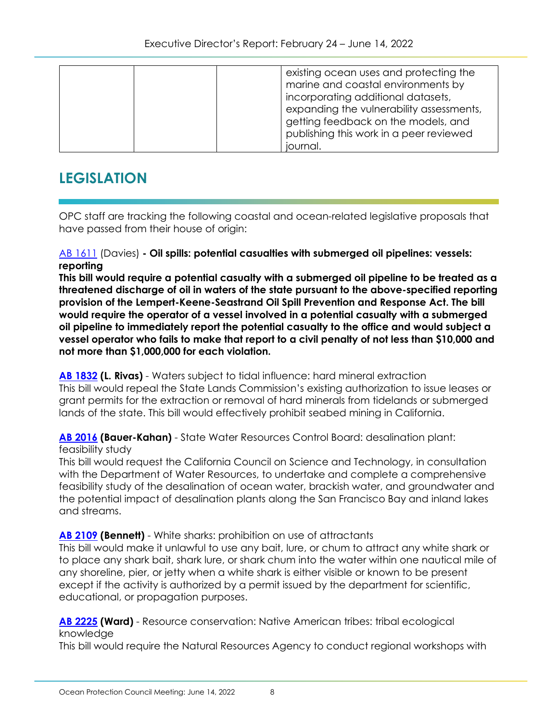| existing ocean uses and protecting the<br>marine and coastal environments by<br>incorporating additional datasets,<br>expanding the vulnerability assessments,<br>getting feedback on the models, and<br>publishing this work in a peer reviewed |
|--------------------------------------------------------------------------------------------------------------------------------------------------------------------------------------------------------------------------------------------------|
| journal.                                                                                                                                                                                                                                         |

## **LEGISLATION**

OPC staff are tracking the following coastal and ocean-related legislative proposals that have passed from their house of origin:

#### [AB 1611](https://leginfo.legislature.ca.gov/faces/billTextClient.xhtml?bill_id=202120220AB1611) (Davies) **- Oil spills: potential casualties with submerged oil pipelines: vessels: reporting**

**This bill would require a potential casualty with a submerged oil pipeline to be treated as a threatened discharge of oil in waters of the state pursuant to the above-specified reporting provision of the Lempert-Keene-Seastrand Oil Spill Prevention and Response Act. The bill would require the operator of a vessel involved in a potential casualty with a submerged oil pipeline to immediately report the potential casualty to the office and would subject a vessel operator who fails to make that report to a civil penalty of not less than \$10,000 and not more than \$1,000,000 for each violation.**

**[AB 1832](https://leginfo.legislature.ca.gov/faces/billTextClient.xhtml?bill_id=202120220AB1832) (L. Rivas)** - Waters subject to tidal influence: hard mineral extraction This bill would repeal the State Lands Commission's existing authorization to issue leases or grant permits for the extraction or removal of hard minerals from tidelands or submerged lands of the state. This bill would effectively prohibit seabed mining in California.

**[AB 2016](https://leginfo.legislature.ca.gov/faces/billTextClient.xhtml?bill_id=202120220AB2016) (Bauer-Kahan)** - State Water Resources Control Board: desalination plant: feasibility study

This bill would request the California Council on Science and Technology, in consultation with the Department of Water Resources, to undertake and complete a comprehensive feasibility study of the desalination of ocean water, brackish water, and groundwater and the potential impact of desalination plants along the San Francisco Bay and inland lakes and streams.

#### **[AB 2109](https://leginfo.legislature.ca.gov/faces/billTextClient.xhtml?bill_id=202120220AB2109) (Bennett)** - White sharks: prohibition on use of attractants

This bill would make it unlawful to use any bait, lure, or chum to attract any white shark or to place any shark bait, shark lure, or shark chum into the water within one nautical mile of any shoreline, pier, or jetty when a white shark is either visible or known to be present except if the activity is authorized by a permit issued by the department for scientific, educational, or propagation purposes.

**[AB 2225](https://leginfo.legislature.ca.gov/faces/billTextClient.xhtml?bill_id=202120220AB2225) (Ward)** - Resource conservation: Native American tribes: tribal ecological knowledge

This bill would require the Natural Resources Agency to conduct regional workshops with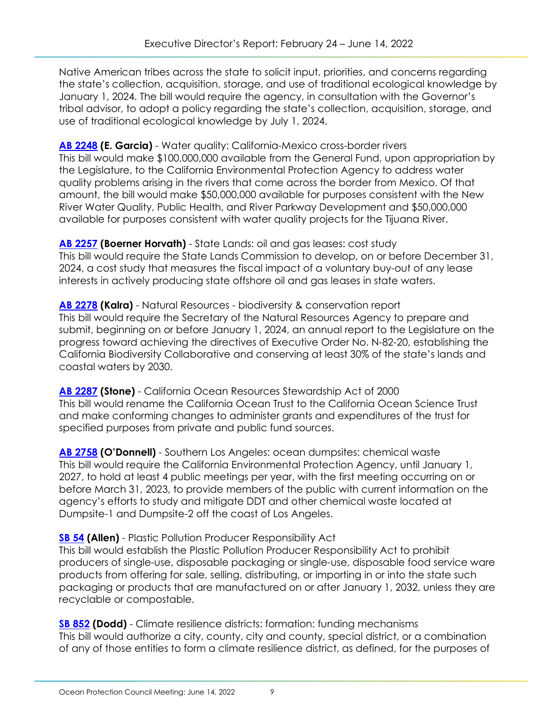Native American tribes across the state to solicit input, priorities, and concerns regarding the state's collection, acquisition, storage, and use of traditional ecological knowledge by January 1, 2024. The bill would require the agency, in consultation with the Governor's tribal advisor, to adopt a policy regarding the state's collection, acquisition, storage, and use of traditional ecological knowledge by July 1, 2024.

**[AB 2248](https://leginfo.legislature.ca.gov/faces/billTextClient.xhtml?bill_id=202120220AB2248) (E. Garcia)** - Water quality: California-Mexico cross-border rivers This bill would make \$100,000,000 available from the General Fund, upon appropriation by the Legislature, to the California Environmental Protection Agency to address water quality problems arising in the rivers that come across the border from Mexico. Of that amount, the bill would make \$50,000,000 available for purposes consistent with the New River Water Quality, Public Health, and River Parkway Development and \$50,000,000 available for purposes consistent with water quality projects for the Tijuana River.

**[AB 2257](https://leginfo.legislature.ca.gov/faces/billTextClient.xhtml?bill_id=202120220AB2257) (Boerner Horvath)** - State Lands: oil and gas leases: cost study This bill would require the State Lands Commission to develop, on or before December 31, 2024, a cost study that measures the fiscal impact of a voluntary buy-out of any lease interests in actively producing state offshore oil and gas leases in state waters.

**[AB 2278](https://leginfo.legislature.ca.gov/faces/billTextClient.xhtml?bill_id=202120220AB2278) (Kalra)** - Natural Resources - biodiversity & conservation report This bill would require the Secretary of the Natural Resources Agency to prepare and submit, beginning on or before January 1, 2024, an annual report to the Legislature on the progress toward achieving the directives of Executive Order No. N-82-20, establishing the California Biodiversity Collaborative and conserving at least 30% of the state's lands and coastal waters by 2030.

**[AB 2287](https://leginfo.legislature.ca.gov/faces/billTextClient.xhtml?bill_id=202120220AB2287) (Stone)** - California Ocean Resources Stewardship Act of 2000 This bill would rename the California Ocean Trust to the California Ocean Science Trust and make conforming changes to administer grants and expenditures of the trust for specified purposes from private and public fund sources.

**[AB 2758](https://leginfo.legislature.ca.gov/faces/billTextClient.xhtml?bill_id=202120220AB2758) (O'Donnell)** - Southern Los Angeles: ocean dumpsites: chemical waste This bill would require the California Environmental Protection Agency, until January 1, 2027, to hold at least 4 public meetings per year, with the first meeting occurring on or before March 31, 2023, to provide members of the public with current information on the agency's efforts to study and mitigate DDT and other chemical waste located at Dumpsite-1 and Dumpsite-2 off the coast of Los Angeles.

**[SB 54](https://leginfo.legislature.ca.gov/faces/billTextClient.xhtml?bill_id=202120220SB54) (Allen)** - Plastic Pollution Producer Responsibility Act This bill would establish the Plastic Pollution Producer Responsibility Act to prohibit producers of single-use, disposable packaging or single-use, disposable food service ware products from offering for sale, selling, distributing, or importing in or into the state such packaging or products that are manufactured on or after January 1, 2032, unless they are

**[SB 852](https://leginfo.legislature.ca.gov/faces/billTextClient.xhtml?bill_id=202120220SB852) (Dodd)** - Climate resilience districts: formation: funding mechanisms This bill would authorize a city, county, city and county, special district, or a combination of any of those entities to form a climate resilience district, as defined, for the purposes of

recyclable or compostable.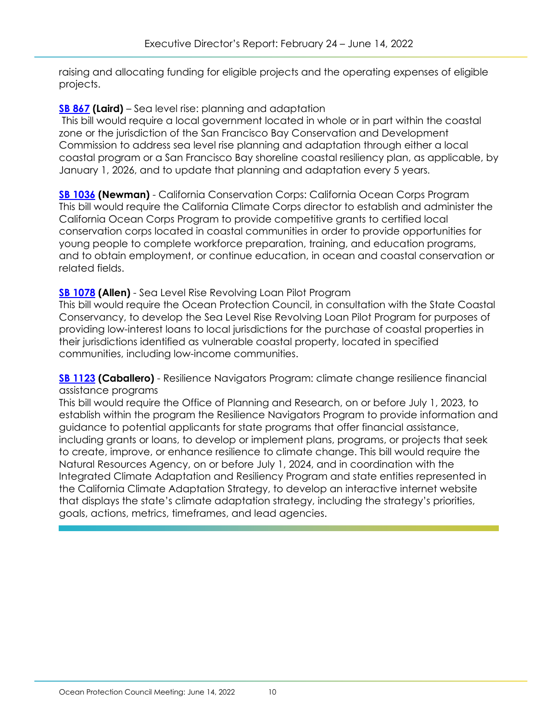raising and allocating funding for eligible projects and the operating expenses of eligible projects.

#### **[SB 867](https://leginfo.legislature.ca.gov/faces/billNavClient.xhtml?bill_id=202120220SB867) (Laird)** – Sea level rise: planning and adaptation

This bill would require a local government located in whole or in part within the coastal zone or the jurisdiction of the San Francisco Bay Conservation and Development Commission to address sea level rise planning and adaptation through either a local coastal program or a San Francisco Bay shoreline coastal resiliency plan, as applicable, by January 1, 2026, and to update that planning and adaptation every 5 years.

**[SB 1036](https://leginfo.legislature.ca.gov/faces/billTextClient.xhtml?bill_id=202120220SB1036) (Newman)** - California Conservation Corps: California Ocean Corps Program This bill would require the California Climate Corps director to establish and administer the California Ocean Corps Program to provide competitive grants to certified local conservation corps located in coastal communities in order to provide opportunities for young people to complete workforce preparation, training, and education programs, and to obtain employment, or continue education, in ocean and coastal conservation or related fields.

#### **[SB 1078](https://leginfo.legislature.ca.gov/faces/billStatusClient.xhtml?bill_id=202120220SB1078) (Allen)** - Sea Level Rise Revolving Loan Pilot Program

This bill would require the Ocean Protection Council, in consultation with the State Coastal Conservancy, to develop the Sea Level Rise Revolving Loan Pilot Program for purposes of providing low-interest loans to local jurisdictions for the purchase of coastal properties in their jurisdictions identified as vulnerable coastal property, located in specified communities, including low-income communities.

**[SB 1123](https://leginfo.legislature.ca.gov/faces/billTextClient.xhtml?bill_id=202120220SB1123) (Caballero)** - Resilience Navigators Program: climate change resilience financial assistance programs

This bill would require the Office of Planning and Research, on or before July 1, 2023, to establish within the program the Resilience Navigators Program to provide information and guidance to potential applicants for state programs that offer financial assistance, including grants or loans, to develop or implement plans, programs, or projects that seek to create, improve, or enhance resilience to climate change. This bill would require the Natural Resources Agency, on or before July 1, 2024, and in coordination with the Integrated Climate Adaptation and Resiliency Program and state entities represented in the California Climate Adaptation Strategy, to develop an interactive internet website that displays the state's climate adaptation strategy, including the strategy's priorities, goals, actions, metrics, timeframes, and lead agencies.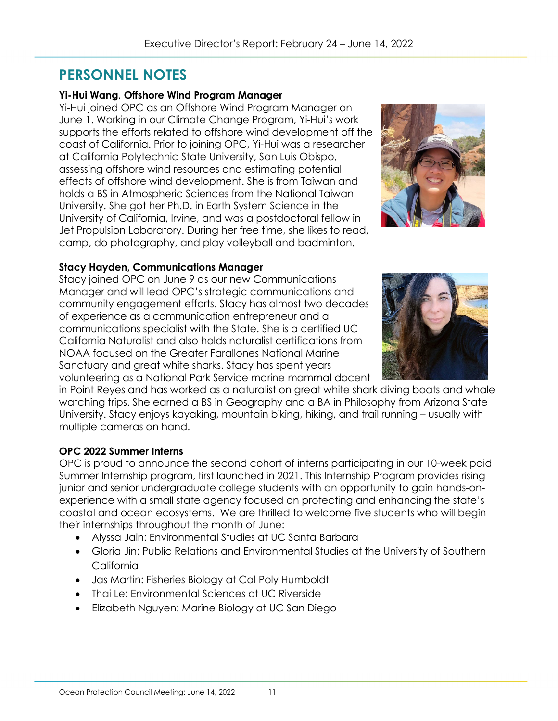## **PERSONNEL NOTES**

#### **Yi-Hui Wang, Offshore Wind Program Manager**

Yi-Hui joined OPC as an Offshore Wind Program Manager on June 1. Working in our Climate Change Program, Yi-Hui's work supports the efforts related to offshore wind development off the coast of California. Prior to joining OPC, Yi-Hui was a researcher at California Polytechnic State University, San Luis Obispo, assessing offshore wind resources and estimating potential effects of offshore wind development. She is from Taiwan and holds a BS in Atmospheric Sciences from the National Taiwan University. She got her Ph.D. in Earth System Science in the University of California, Irvine, and was a postdoctoral fellow in Jet Propulsion Laboratory. During her free time, she likes to read, camp, do photography, and play volleyball and badminton.



#### **Stacy Hayden, Communications Manager**

Stacy joined OPC on June 9 as our new Communications Manager and will lead OPC's strategic communications and community engagement efforts. Stacy has almost two decades of experience as a communication entrepreneur and a communications specialist with the State. She is a certified UC California Naturalist and also holds naturalist certifications from NOAA focused on the Greater Farallones National Marine Sanctuary and great white sharks. Stacy has spent years volunteering as a National Park Service marine mammal docent



in Point Reyes and has worked as a naturalist on great white shark diving boats and whale watching trips. She earned a BS in Geography and a BA in Philosophy from Arizona State University. Stacy enjoys kayaking, mountain biking, hiking, and trail running – usually with multiple cameras on hand.

#### **OPC 2022 Summer Interns**

OPC is proud to announce the second cohort of interns participating in our 10-week paid Summer Internship program, first launched in 2021. This Internship Program provides rising junior and senior undergraduate college students with an opportunity to gain hands-onexperience with a small state agency focused on protecting and enhancing the state's coastal and ocean ecosystems. We are thrilled to welcome five students who will begin their internships throughout the month of June:

- Alyssa Jain: Environmental Studies at UC Santa Barbara
- Gloria Jin: Public Relations and Environmental Studies at the University of Southern **California**
- Jas Martin: Fisheries Biology at Cal Poly Humboldt
- Thai Le: Environmental Sciences at UC Riverside
- Elizabeth Nguyen: Marine Biology at UC San Diego